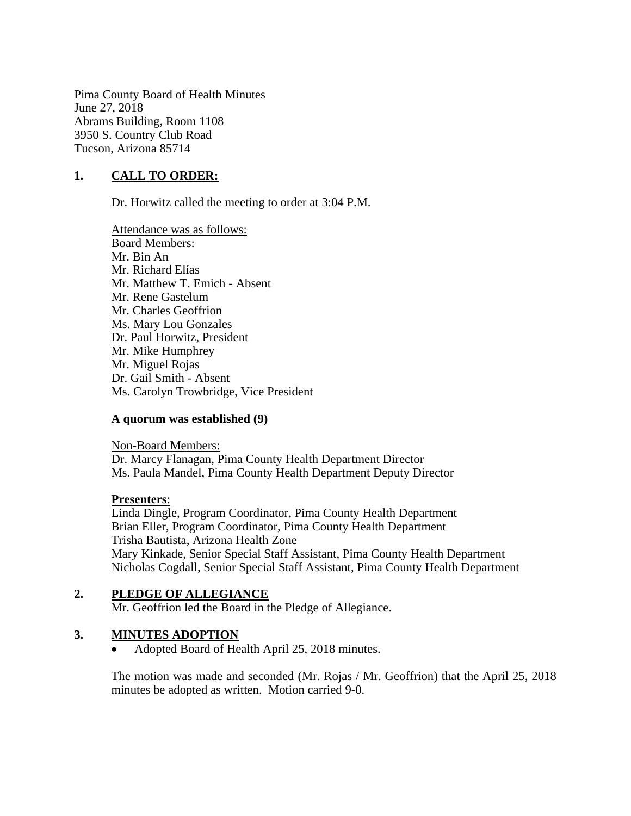Pima County Board of Health Minutes June 27, 2018 Abrams Building, Room 1108 3950 S. Country Club Road Tucson, Arizona 85714

# **1. CALL TO ORDER:**

Dr. Horwitz called the meeting to order at 3:04 P.M.

Attendance was as follows: Board Members: Mr. Bin An Mr. Richard Elías Mr. Matthew T. Emich - Absent Mr. Rene Gastelum Mr. Charles Geoffrion Ms. Mary Lou Gonzales Dr. Paul Horwitz, President Mr. Mike Humphrey Mr. Miguel Rojas Dr. Gail Smith - Absent Ms. Carolyn Trowbridge, Vice President

# **A quorum was established (9)**

Non-Board Members: Dr. Marcy Flanagan, Pima County Health Department Director Ms. Paula Mandel, Pima County Health Department Deputy Director

#### **Presenters**:

Linda Dingle, Program Coordinator, Pima County Health Department Brian Eller, Program Coordinator, Pima County Health Department Trisha Bautista, Arizona Health Zone Mary Kinkade, Senior Special Staff Assistant, Pima County Health Department Nicholas Cogdall, Senior Special Staff Assistant, Pima County Health Department

# **2. PLEDGE OF ALLEGIANCE**

Mr. Geoffrion led the Board in the Pledge of Allegiance.

# **3. MINUTES ADOPTION**

• Adopted Board of Health April 25, 2018 minutes.

The motion was made and seconded (Mr. Rojas / Mr. Geoffrion) that the April 25, 2018 minutes be adopted as written. Motion carried 9-0.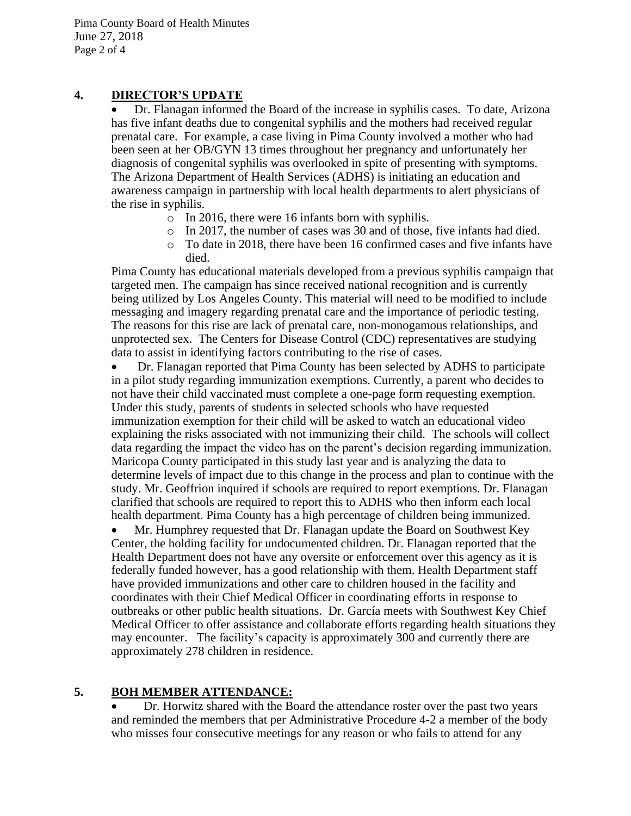Pima County Board of Health Minutes June 27, 2018 Page 2 of 4

# **4. DIRECTOR'S UPDATE**

 Dr. Flanagan informed the Board of the increase in syphilis cases. To date, Arizona has five infant deaths due to congenital syphilis and the mothers had received regular prenatal care. For example, a case living in Pima County involved a mother who had been seen at her OB/GYN 13 times throughout her pregnancy and unfortunately her diagnosis of congenital syphilis was overlooked in spite of presenting with symptoms. The Arizona Department of Health Services (ADHS) is initiating an education and awareness campaign in partnership with local health departments to alert physicians of the rise in syphilis.

- o In 2016, there were 16 infants born with syphilis.
- o In 2017, the number of cases was 30 and of those, five infants had died.
- $\circ$  To date in 2018, there have been 16 confirmed cases and five infants have died.

Pima County has educational materials developed from a previous syphilis campaign that targeted men. The campaign has since received national recognition and is currently being utilized by Los Angeles County. This material will need to be modified to include messaging and imagery regarding prenatal care and the importance of periodic testing. The reasons for this rise are lack of prenatal care, non-monogamous relationships, and unprotected sex. The Centers for Disease Control (CDC) representatives are studying data to assist in identifying factors contributing to the rise of cases.

 Dr. Flanagan reported that Pima County has been selected by ADHS to participate in a pilot study regarding immunization exemptions. Currently, a parent who decides to not have their child vaccinated must complete a one-page form requesting exemption. Under this study, parents of students in selected schools who have requested immunization exemption for their child will be asked to watch an educational video explaining the risks associated with not immunizing their child. The schools will collect data regarding the impact the video has on the parent's decision regarding immunization. Maricopa County participated in this study last year and is analyzing the data to determine levels of impact due to this change in the process and plan to continue with the study. Mr. Geoffrion inquired if schools are required to report exemptions. Dr. Flanagan clarified that schools are required to report this to ADHS who then inform each local health department. Pima County has a high percentage of children being immunized.

 Mr. Humphrey requested that Dr. Flanagan update the Board on Southwest Key Center, the holding facility for undocumented children. Dr. Flanagan reported that the Health Department does not have any oversite or enforcement over this agency as it is federally funded however, has a good relationship with them. Health Department staff have provided immunizations and other care to children housed in the facility and coordinates with their Chief Medical Officer in coordinating efforts in response to outbreaks or other public health situations. Dr. García meets with Southwest Key Chief Medical Officer to offer assistance and collaborate efforts regarding health situations they may encounter. The facility's capacity is approximately 300 and currently there are approximately 278 children in residence.

# **5. BOH MEMBER ATTENDANCE:**

 Dr. Horwitz shared with the Board the attendance roster over the past two years and reminded the members that per Administrative Procedure 4-2 a member of the body who misses four consecutive meetings for any reason or who fails to attend for any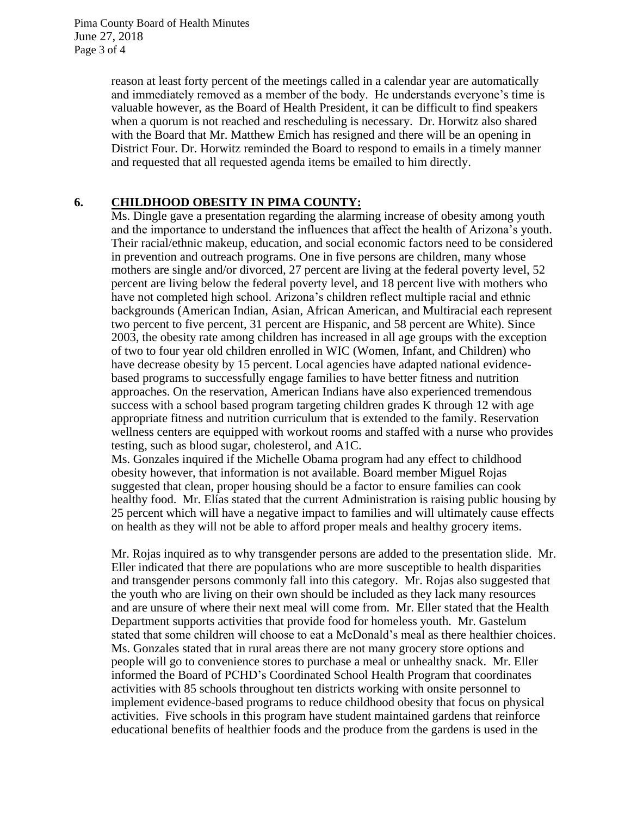Pima County Board of Health Minutes June 27, 2018 Page 3 of 4

> reason at least forty percent of the meetings called in a calendar year are automatically and immediately removed as a member of the body. He understands everyone's time is valuable however, as the Board of Health President, it can be difficult to find speakers when a quorum is not reached and rescheduling is necessary. Dr. Horwitz also shared with the Board that Mr. Matthew Emich has resigned and there will be an opening in District Four. Dr. Horwitz reminded the Board to respond to emails in a timely manner and requested that all requested agenda items be emailed to him directly.

# **6. CHILDHOOD OBESITY IN PIMA COUNTY:**

Ms. Dingle gave a presentation regarding the alarming increase of obesity among youth and the importance to understand the influences that affect the health of Arizona's youth. Their racial/ethnic makeup, education, and social economic factors need to be considered in prevention and outreach programs. One in five persons are children, many whose mothers are single and/or divorced, 27 percent are living at the federal poverty level, 52 percent are living below the federal poverty level, and 18 percent live with mothers who have not completed high school. Arizona's children reflect multiple racial and ethnic backgrounds (American Indian, Asian, African American, and Multiracial each represent two percent to five percent, 31 percent are Hispanic, and 58 percent are White). Since 2003, the obesity rate among children has increased in all age groups with the exception of two to four year old children enrolled in WIC (Women, Infant, and Children) who have decrease obesity by 15 percent. Local agencies have adapted national evidencebased programs to successfully engage families to have better fitness and nutrition approaches. On the reservation, American Indians have also experienced tremendous success with a school based program targeting children grades K through 12 with age appropriate fitness and nutrition curriculum that is extended to the family. Reservation wellness centers are equipped with workout rooms and staffed with a nurse who provides testing, such as blood sugar, cholesterol, and A1C.

Ms. Gonzales inquired if the Michelle Obama program had any effect to childhood obesity however, that information is not available. Board member Miguel Rojas suggested that clean, proper housing should be a factor to ensure families can cook healthy food. Mr. Elías stated that the current Administration is raising public housing by 25 percent which will have a negative impact to families and will ultimately cause effects on health as they will not be able to afford proper meals and healthy grocery items.

Mr. Rojas inquired as to why transgender persons are added to the presentation slide. Mr. Eller indicated that there are populations who are more susceptible to health disparities and transgender persons commonly fall into this category. Mr. Rojas also suggested that the youth who are living on their own should be included as they lack many resources and are unsure of where their next meal will come from. Mr. Eller stated that the Health Department supports activities that provide food for homeless youth. Mr. Gastelum stated that some children will choose to eat a McDonald's meal as there healthier choices. Ms. Gonzales stated that in rural areas there are not many grocery store options and people will go to convenience stores to purchase a meal or unhealthy snack. Mr. Eller informed the Board of PCHD's Coordinated School Health Program that coordinates activities with 85 schools throughout ten districts working with onsite personnel to implement evidence-based programs to reduce childhood obesity that focus on physical activities. Five schools in this program have student maintained gardens that reinforce educational benefits of healthier foods and the produce from the gardens is used in the